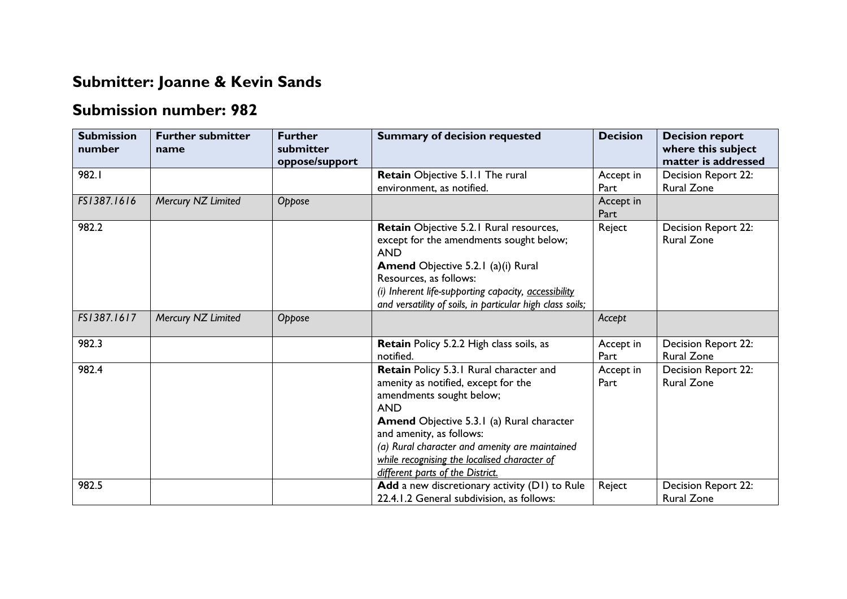## **Submitter: Joanne & Kevin Sands**

## **Submission number: 982**

| <b>Submission</b><br>number | <b>Further submitter</b><br>name | <b>Further</b><br>submitter<br>oppose/support | <b>Summary of decision requested</b>                                                                                                                                                                                                                                                                                                           | <b>Decision</b>   | <b>Decision report</b><br>where this subject<br>matter is addressed |
|-----------------------------|----------------------------------|-----------------------------------------------|------------------------------------------------------------------------------------------------------------------------------------------------------------------------------------------------------------------------------------------------------------------------------------------------------------------------------------------------|-------------------|---------------------------------------------------------------------|
| 982.I                       |                                  |                                               | Retain Objective 5.1.1 The rural<br>environment, as notified.                                                                                                                                                                                                                                                                                  | Accept in<br>Part | Decision Report 22:<br><b>Rural Zone</b>                            |
| FS1387.1616                 | Mercury NZ Limited               | Oppose                                        |                                                                                                                                                                                                                                                                                                                                                | Accept in<br>Part |                                                                     |
| 982.2                       |                                  |                                               | Retain Objective 5.2.1 Rural resources,<br>except for the amendments sought below;<br><b>AND</b><br><b>Amend</b> Objective 5.2.1 (a)(i) Rural<br>Resources, as follows:<br>(i) Inherent life-supporting capacity, accessibility<br>and versatility of soils, in particular high class soils;                                                   | Reject            | Decision Report 22:<br><b>Rural Zone</b>                            |
| FS1387.1617                 | Mercury NZ Limited               | Oppose                                        |                                                                                                                                                                                                                                                                                                                                                | Accept            |                                                                     |
| 982.3                       |                                  |                                               | <b>Retain Policy 5.2.2 High class soils, as</b><br>notified.                                                                                                                                                                                                                                                                                   | Accept in<br>Part | Decision Report 22:<br><b>Rural Zone</b>                            |
| 982.4                       |                                  |                                               | Retain Policy 5.3.1 Rural character and<br>amenity as notified, except for the<br>amendments sought below;<br><b>AND</b><br><b>Amend Objective 5.3.1 (a) Rural character</b><br>and amenity, as follows:<br>(a) Rural character and amenity are maintained<br>while recognising the localised character of<br>different parts of the District. | Accept in<br>Part | Decision Report 22:<br><b>Rural Zone</b>                            |
| 982.5                       |                                  |                                               | Add a new discretionary activity (D1) to Rule<br>22.4.1.2 General subdivision, as follows:                                                                                                                                                                                                                                                     | Reject            | Decision Report 22:<br><b>Rural Zone</b>                            |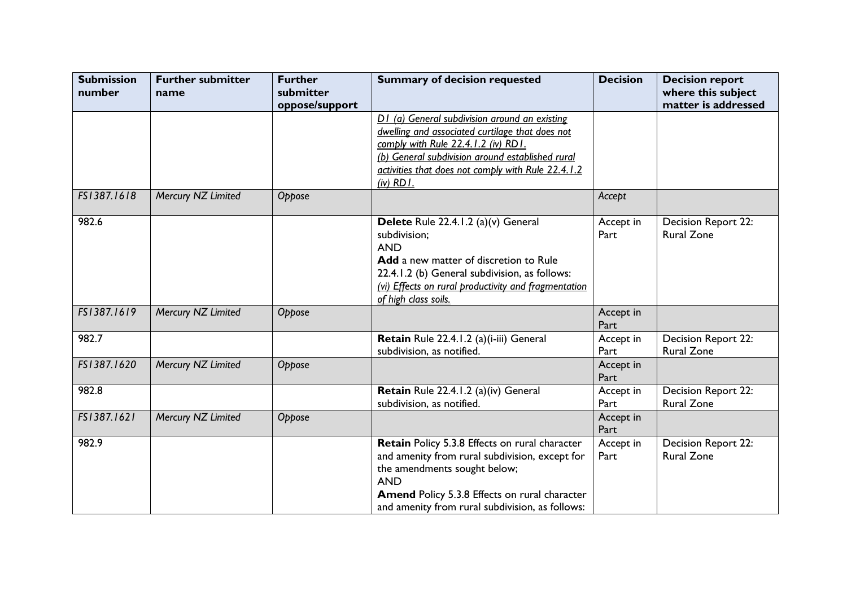| <b>Submission</b><br>number | <b>Further submitter</b><br>name | <b>Further</b><br>submitter<br>oppose/support | <b>Summary of decision requested</b>                                                                                                                                                                                                                              | <b>Decision</b>   | <b>Decision report</b><br>where this subject<br>matter is addressed |
|-----------------------------|----------------------------------|-----------------------------------------------|-------------------------------------------------------------------------------------------------------------------------------------------------------------------------------------------------------------------------------------------------------------------|-------------------|---------------------------------------------------------------------|
|                             |                                  |                                               | D1 (a) General subdivision around an existing<br>dwelling and associated curtilage that does not<br>comply with Rule 22.4.1.2 (iv) RD1.<br>(b) General subdivision around established rural<br>activities that does not comply with Rule 22.4.1.2<br>$(iv)$ RD I. |                   |                                                                     |
| FS1387.1618                 | Mercury NZ Limited               | Oppose                                        |                                                                                                                                                                                                                                                                   | Accept            |                                                                     |
| 982.6                       |                                  |                                               | Delete Rule 22.4.1.2 (a)(v) General<br>subdivision;<br><b>AND</b><br>Add a new matter of discretion to Rule<br>22.4.1.2 (b) General subdivision, as follows:<br>(vi) Effects on rural productivity and fragmentation<br>of high class soils.                      | Accept in<br>Part | Decision Report 22:<br><b>Rural Zone</b>                            |
| FS1387.1619                 | Mercury NZ Limited               | Oppose                                        |                                                                                                                                                                                                                                                                   | Accept in<br>Part |                                                                     |
| 982.7                       |                                  |                                               | Retain Rule 22.4.1.2 (a)(i-iii) General<br>subdivision, as notified.                                                                                                                                                                                              | Accept in<br>Part | Decision Report 22:<br><b>Rural Zone</b>                            |
| FS1387.1620                 | Mercury NZ Limited               | Oppose                                        |                                                                                                                                                                                                                                                                   | Accept in<br>Part |                                                                     |
| 982.8                       |                                  |                                               | Retain Rule 22.4.1.2 (a)(iv) General<br>subdivision, as notified.                                                                                                                                                                                                 | Accept in<br>Part | Decision Report 22:<br><b>Rural Zone</b>                            |
| FS1387.1621                 | Mercury NZ Limited               | Oppose                                        |                                                                                                                                                                                                                                                                   | Accept in<br>Part |                                                                     |
| 982.9                       |                                  |                                               | Retain Policy 5.3.8 Effects on rural character<br>and amenity from rural subdivision, except for<br>the amendments sought below;<br><b>AND</b><br><b>Amend Policy 5.3.8 Effects on rural character</b><br>and amenity from rural subdivision, as follows:         | Accept in<br>Part | Decision Report 22:<br><b>Rural Zone</b>                            |